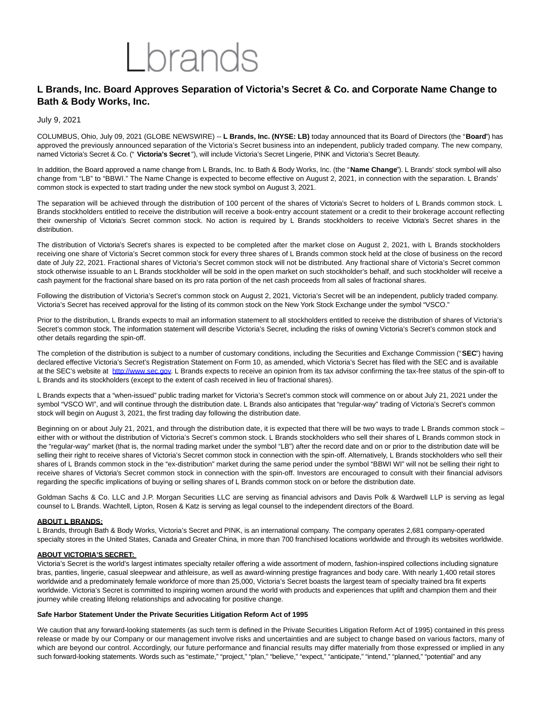# I brands

# **L Brands, Inc. Board Approves Separation of Victoria's Secret & Co. and Corporate Name Change to Bath & Body Works, Inc.**

July 9, 2021

COLUMBUS, Ohio, July 09, 2021 (GLOBE NEWSWIRE) -- **L Brands, Inc. (NYSE: LB)** today announced that its Board of Directors (the "**Board**") has approved the previously announced separation of the Victoria's Secret business into an independent, publicly traded company. The new company, named Victoria's Secret & Co. (" **Victoria's Secret**"), will include Victoria's Secret Lingerie, PINK and Victoria's Secret Beauty.

In addition, the Board approved a name change from L Brands, Inc. to Bath & Body Works, Inc. (the "**Name Change**"). L Brands' stock symbol will also change from "LB" to "BBWI." The Name Change is expected to become effective on August 2, 2021, in connection with the separation. L Brands' common stock is expected to start trading under the new stock symbol on August 3, 2021.

The separation will be achieved through the distribution of 100 percent of the shares of Victoria's Secret to holders of L Brands common stock. L Brands stockholders entitled to receive the distribution will receive a book-entry account statement or a credit to their brokerage account reflecting their ownership of Victoria's Secret common stock. No action is required by L Brands stockholders to receive Victoria's Secret shares in the distribution.

The distribution of Victoria's Secret's shares is expected to be completed after the market close on August 2, 2021, with L Brands stockholders receiving one share of Victoria's Secret common stock for every three shares of L Brands common stock held at the close of business on the record date of July 22, 2021. Fractional shares of Victoria's Secret common stock will not be distributed. Any fractional share of Victoria's Secret common stock otherwise issuable to an L Brands stockholder will be sold in the open market on such stockholder's behalf, and such stockholder will receive a cash payment for the fractional share based on its pro rata portion of the net cash proceeds from all sales of fractional shares.

Following the distribution of Victoria's Secret's common stock on August 2, 2021, Victoria's Secret will be an independent, publicly traded company. Victoria's Secret has received approval for the listing of its common stock on the New York Stock Exchange under the symbol "VSCO."

Prior to the distribution, L Brands expects to mail an information statement to all stockholders entitled to receive the distribution of shares of Victoria's Secret's common stock. The information statement will describe Victoria's Secret, including the risks of owning Victoria's Secret's common stock and other details regarding the spin-off.

The completion of the distribution is subject to a number of customary conditions, including the Securities and Exchange Commission ("**SEC**") having declared effective Victoria's Secret's Registration Statement on Form 10, as amended, which Victoria's Secret has filed with the SEC and is available at the SEC's website at [http://www.sec.gov.](https://www.globenewswire.com/Tracker?data=25dx-5p8wwWIX4cMZC3OGSetJJaD9ZeH4LuENCh1ruTy9xb4qLBg3ig35pVqOGzPxJIl4f4zTjWJMaw6rmrOqA==) L Brands expects to receive an opinion from its tax advisor confirming the tax-free status of the spin-off to L Brands and its stockholders (except to the extent of cash received in lieu of fractional shares).

L Brands expects that a "when-issued" public trading market for Victoria's Secret's common stock will commence on or about July 21, 2021 under the symbol "VSCO WI", and will continue through the distribution date. L Brands also anticipates that "regular-way" trading of Victoria's Secret's common stock will begin on August 3, 2021, the first trading day following the distribution date.

Beginning on or about July 21, 2021, and through the distribution date, it is expected that there will be two ways to trade L Brands common stock – either with or without the distribution of Victoria's Secret's common stock. L Brands stockholders who sell their shares of L Brands common stock in the "regular-way" market (that is, the normal trading market under the symbol "LB") after the record date and on or prior to the distribution date will be selling their right to receive shares of Victoria's Secret common stock in connection with the spin-off. Alternatively, L Brands stockholders who sell their shares of L Brands common stock in the "ex-distribution" market during the same period under the symbol "BBWI WI" will not be selling their right to receive shares of Victoria's Secret common stock in connection with the spin-off. Investors are encouraged to consult with their financial advisors regarding the specific implications of buying or selling shares of L Brands common stock on or before the distribution date.

Goldman Sachs & Co. LLC and J.P. Morgan Securities LLC are serving as financial advisors and Davis Polk & Wardwell LLP is serving as legal counsel to L Brands. Wachtell, Lipton, Rosen & Katz is serving as legal counsel to the independent directors of the Board.

## **ABOUT L BRANDS:**

L Brands, through Bath & Body Works, Victoria's Secret and PINK, is an international company. The company operates 2,681 company-operated specialty stores in the United States, Canada and Greater China, in more than 700 franchised locations worldwide and through its websites worldwide.

### **ABOUT VICTORIA'S SECRET:**

Victoria's Secret is the world's largest intimates specialty retailer offering a wide assortment of modern, fashion-inspired collections including signature bras, panties, lingerie, casual sleepwear and athleisure, as well as award-winning prestige fragrances and body care. With nearly 1,400 retail stores worldwide and a predominately female workforce of more than 25,000, Victoria's Secret boasts the largest team of specialty trained bra fit experts worldwide. Victoria's Secret is committed to inspiring women around the world with products and experiences that uplift and champion them and their journey while creating lifelong relationships and advocating for positive change.

### **Safe Harbor Statement Under the Private Securities Litigation Reform Act of 1995**

We caution that any forward-looking statements (as such term is defined in the Private Securities Litigation Reform Act of 1995) contained in this press release or made by our Company or our management involve risks and uncertainties and are subject to change based on various factors, many of which are beyond our control. Accordingly, our future performance and financial results may differ materially from those expressed or implied in any such forward-looking statements. Words such as "estimate," "project," "plan," "believe," "expect," "anticipate," "intend," "planned," "potential" and any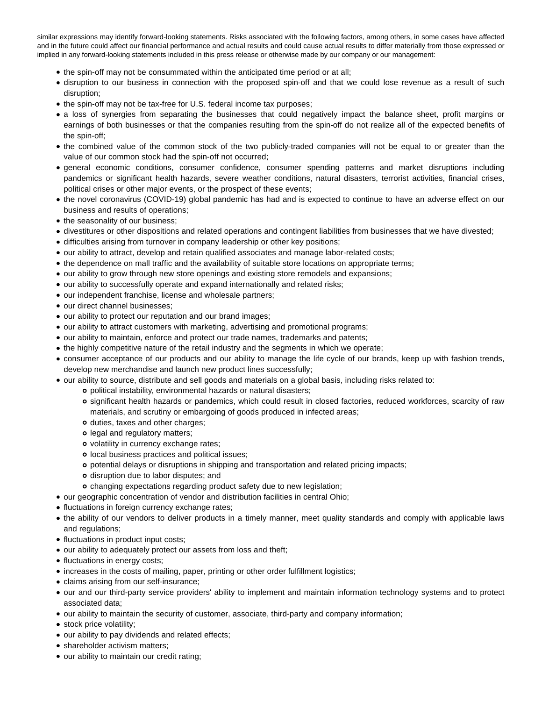similar expressions may identify forward-looking statements. Risks associated with the following factors, among others, in some cases have affected and in the future could affect our financial performance and actual results and could cause actual results to differ materially from those expressed or implied in any forward-looking statements included in this press release or otherwise made by our company or our management:

- the spin-off may not be consummated within the anticipated time period or at all;
- disruption to our business in connection with the proposed spin-off and that we could lose revenue as a result of such disruption;
- the spin-off may not be tax-free for U.S. federal income tax purposes;
- a loss of synergies from separating the businesses that could negatively impact the balance sheet, profit margins or earnings of both businesses or that the companies resulting from the spin-off do not realize all of the expected benefits of the spin-off;
- the combined value of the common stock of the two publicly-traded companies will not be equal to or greater than the value of our common stock had the spin-off not occurred;
- general economic conditions, consumer confidence, consumer spending patterns and market disruptions including pandemics or significant health hazards, severe weather conditions, natural disasters, terrorist activities, financial crises, political crises or other major events, or the prospect of these events;
- the novel coronavirus (COVID-19) global pandemic has had and is expected to continue to have an adverse effect on our business and results of operations;
- the seasonality of our business;
- divestitures or other dispositions and related operations and contingent liabilities from businesses that we have divested;
- difficulties arising from turnover in company leadership or other key positions;
- our ability to attract, develop and retain qualified associates and manage labor-related costs;
- the dependence on mall traffic and the availability of suitable store locations on appropriate terms;
- our ability to grow through new store openings and existing store remodels and expansions;
- our ability to successfully operate and expand internationally and related risks;
- our independent franchise, license and wholesale partners;
- our direct channel businesses;
- our ability to protect our reputation and our brand images;
- our ability to attract customers with marketing, advertising and promotional programs;
- our ability to maintain, enforce and protect our trade names, trademarks and patents;
- the highly competitive nature of the retail industry and the segments in which we operate;
- consumer acceptance of our products and our ability to manage the life cycle of our brands, keep up with fashion trends, develop new merchandise and launch new product lines successfully;
- our ability to source, distribute and sell goods and materials on a global basis, including risks related to:
	- political instability, environmental hazards or natural disasters;
	- significant health hazards or pandemics, which could result in closed factories, reduced workforces, scarcity of raw materials, and scrutiny or embargoing of goods produced in infected areas;
	- o duties, taxes and other charges;
	- o legal and regulatory matters;
	- o volatility in currency exchange rates;
	- o local business practices and political issues;
	- potential delays or disruptions in shipping and transportation and related pricing impacts;
	- o disruption due to labor disputes; and
	- o changing expectations regarding product safety due to new legislation;
- our geographic concentration of vendor and distribution facilities in central Ohio;
- fluctuations in foreign currency exchange rates;
- the ability of our vendors to deliver products in a timely manner, meet quality standards and comply with applicable laws and regulations;
- fluctuations in product input costs;
- our ability to adequately protect our assets from loss and theft;
- fluctuations in energy costs;
- increases in the costs of mailing, paper, printing or other order fulfillment logistics;
- claims arising from our self-insurance;
- our and our third-party service providers' ability to implement and maintain information technology systems and to protect associated data;
- our ability to maintain the security of customer, associate, third-party and company information;
- stock price volatility;
- our ability to pay dividends and related effects;
- shareholder activism matters;
- our ability to maintain our credit rating;